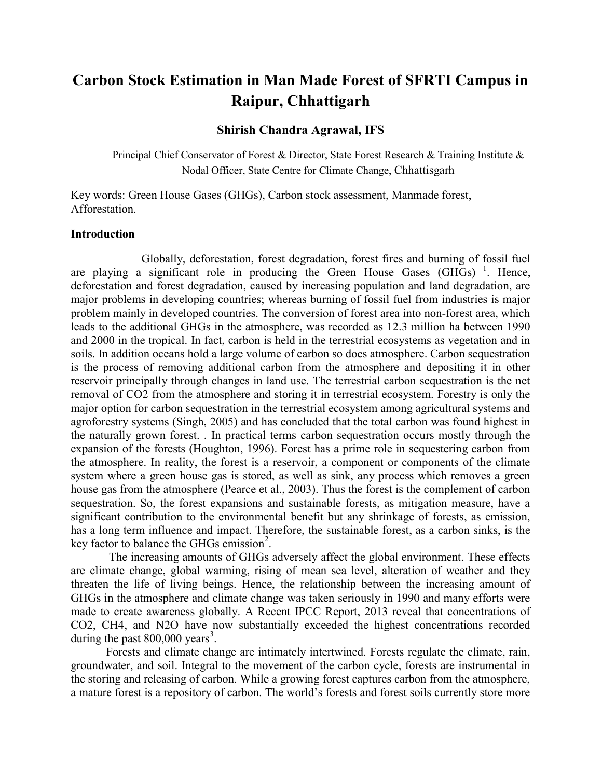# Carbon Stock Estimation in Man Made Forest of SFRTI Campus in Raipur, Chhattigarh

#### Shirish Chandra Agrawal, IFS

Principal Chief Conservator of Forest & Director, State Forest Research & Training Institute & Nodal Officer, State Centre for Climate Change, Chhattisgarh

Key words: Green House Gases (GHGs), Carbon stock assessment, Manmade forest, Afforestation.

#### Introduction

Globally, deforestation, forest degradation, forest fires and burning of fossil fuel are playing a significant role in producing the Green House Gases (GHGs)<sup>1</sup>. Hence, deforestation and forest degradation, caused by increasing population and land degradation, are major problems in developing countries; whereas burning of fossil fuel from industries is major problem mainly in developed countries. The conversion of forest area into non-forest area, which leads to the additional GHGs in the atmosphere, was recorded as 12.3 million ha between 1990 and 2000 in the tropical. In fact, carbon is held in the terrestrial ecosystems as vegetation and in soils. In addition oceans hold a large volume of carbon so does atmosphere. Carbon sequestration is the process of removing additional carbon from the atmosphere and depositing it in other reservoir principally through changes in land use. The terrestrial carbon sequestration is the net removal of CO2 from the atmosphere and storing it in terrestrial ecosystem. Forestry is only the major option for carbon sequestration in the terrestrial ecosystem among agricultural systems and agroforestry systems (Singh, 2005) and has concluded that the total carbon was found highest in the naturally grown forest. . In practical terms carbon sequestration occurs mostly through the expansion of the forests (Houghton, 1996). Forest has a prime role in sequestering carbon from the atmosphere. In reality, the forest is a reservoir, a component or components of the climate system where a green house gas is stored, as well as sink, any process which removes a green house gas from the atmosphere (Pearce et al., 2003). Thus the forest is the complement of carbon sequestration. So, the forest expansions and sustainable forests, as mitigation measure, have a significant contribution to the environmental benefit but any shrinkage of forests, as emission, has a long term influence and impact. Therefore, the sustainable forest, as a carbon sinks, is the key factor to balance the GHGs emission<sup>2</sup>.

 The increasing amounts of GHGs adversely affect the global environment. These effects are climate change, global warming, rising of mean sea level, alteration of weather and they threaten the life of living beings. Hence, the relationship between the increasing amount of GHGs in the atmosphere and climate change was taken seriously in 1990 and many efforts were made to create awareness globally. A Recent IPCC Report, 2013 reveal that concentrations of CO2, CH4, and N2O have now substantially exceeded the highest concentrations recorded during the past  $800,000$  years<sup>3</sup>.

Forests and climate change are intimately intertwined. Forests regulate the climate, rain, groundwater, and soil. Integral to the movement of the carbon cycle, forests are instrumental in the storing and releasing of carbon. While a growing forest captures carbon from the atmosphere, a mature forest is a repository of carbon. The world's forests and forest soils currently store more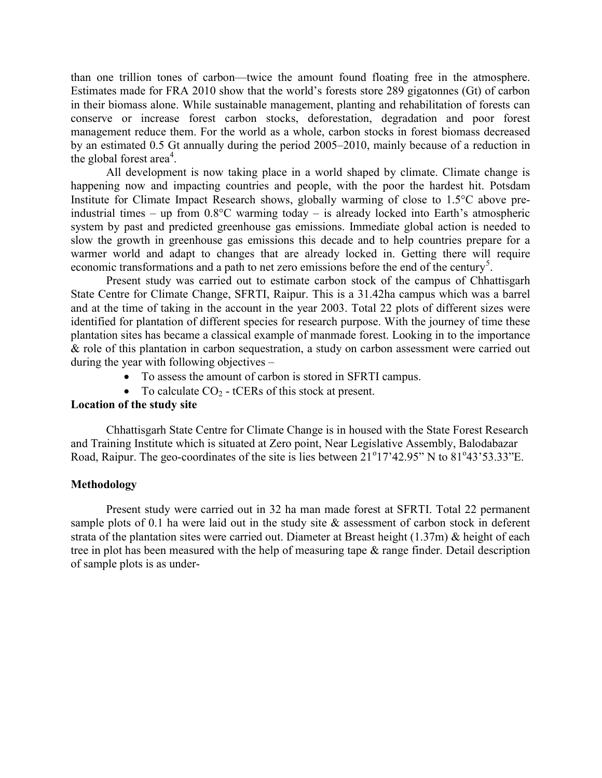than one trillion tones of carbon—twice the amount found floating free in the atmosphere. Estimates made for FRA 2010 show that the world's forests store 289 gigatonnes (Gt) of carbon in their biomass alone. While sustainable management, planting and rehabilitation of forests can conserve or increase forest carbon stocks, deforestation, degradation and poor forest management reduce them. For the world as a whole, carbon stocks in forest biomass decreased by an estimated 0.5 Gt annually during the period 2005–2010, mainly because of a reduction in the global forest area<sup>4</sup>.

All development is now taking place in a world shaped by climate. Climate change is happening now and impacting countries and people, with the poor the hardest hit. Potsdam Institute for Climate Impact Research shows, globally warming of close to 1.5°C above preindustrial times – up from 0.8°C warming today – is already locked into Earth's atmospheric system by past and predicted greenhouse gas emissions. Immediate global action is needed to slow the growth in greenhouse gas emissions this decade and to help countries prepare for a warmer world and adapt to changes that are already locked in. Getting there will require economic transformations and a path to net zero emissions before the end of the century<sup>5</sup>.

Present study was carried out to estimate carbon stock of the campus of Chhattisgarh State Centre for Climate Change, SFRTI, Raipur. This is a 31.42ha campus which was a barrel and at the time of taking in the account in the year 2003. Total 22 plots of different sizes were identified for plantation of different species for research purpose. With the journey of time these plantation sites has became a classical example of manmade forest. Looking in to the importance & role of this plantation in carbon sequestration, a study on carbon assessment were carried out during the year with following objectives –

- To assess the amount of carbon is stored in SFRTI campus.
- To calculate  $CO_2$  tCERs of this stock at present.

# Location of the study site

Chhattisgarh State Centre for Climate Change is in housed with the State Forest Research and Training Institute which is situated at Zero point, Near Legislative Assembly, Balodabazar Road, Raipur. The geo-coordinates of the site is lies between  $21^{\circ}17'42.95''$  N to  $81^{\circ}43'53.33''$ E.

#### Methodology

Present study were carried out in 32 ha man made forest at SFRTI. Total 22 permanent sample plots of 0.1 ha were laid out in the study site & assessment of carbon stock in deferent strata of the plantation sites were carried out. Diameter at Breast height (1.37m) & height of each tree in plot has been measured with the help of measuring tape & range finder. Detail description of sample plots is as under-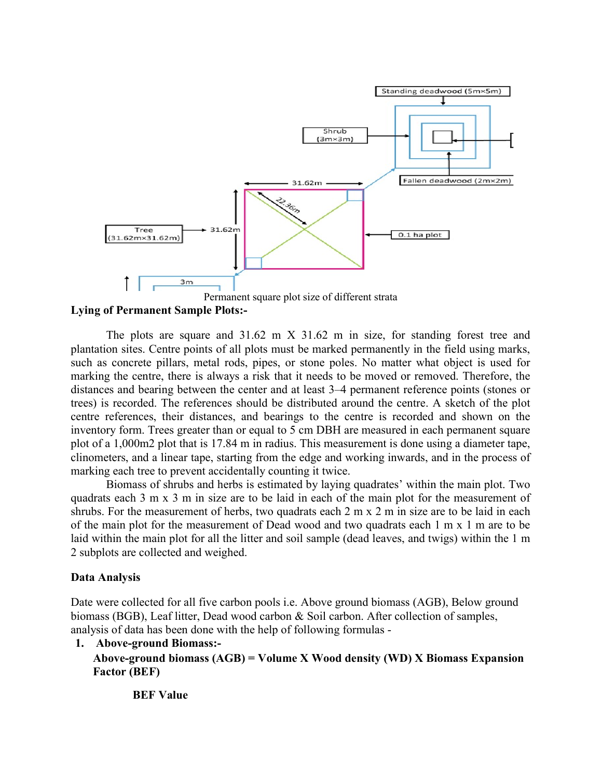

Lying of Permanent Sample Plots:-

The plots are square and  $31.62$  m  $X$   $31.62$  m in size, for standing forest tree and plantation sites. Centre points of all plots must be marked permanently in the field using marks, such as concrete pillars, metal rods, pipes, or stone poles. No matter what object is used for marking the centre, there is always a risk that it needs to be moved or removed. Therefore, the distances and bearing between the center and at least 3–4 permanent reference points (stones or trees) is recorded. The references should be distributed around the centre. A sketch of the plot centre references, their distances, and bearings to the centre is recorded and shown on the inventory form. Trees greater than or equal to 5 cm DBH are measured in each permanent square plot of a 1,000m2 plot that is 17.84 m in radius. This measurement is done using a diameter tape, clinometers, and a linear tape, starting from the edge and working inwards, and in the process of marking each tree to prevent accidentally counting it twice.

Biomass of shrubs and herbs is estimated by laying quadrates' within the main plot. Two quadrats each 3 m x 3 m in size are to be laid in each of the main plot for the measurement of shrubs. For the measurement of herbs, two quadrats each 2 m x 2 m in size are to be laid in each of the main plot for the measurement of Dead wood and two quadrats each 1 m x 1 m are to be laid within the main plot for all the litter and soil sample (dead leaves, and twigs) within the 1 m 2 subplots are collected and weighed.

# Data Analysis

Date were collected for all five carbon pools i.e. Above ground biomass (AGB), Below ground biomass (BGB), Leaf litter, Dead wood carbon & Soil carbon. After collection of samples, analysis of data has been done with the help of following formulas -

```
1. Above-ground Biomass:-
```
Above-ground biomass  $(AGB) = Volume X Wood density (WD) X Biomass Expansion$ Factor (BEF)

BEF Value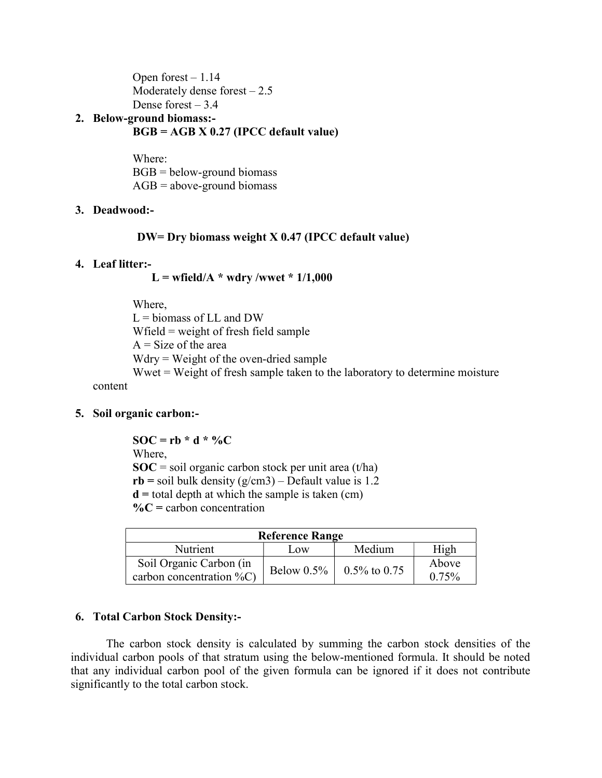Open forest – 1.14 Moderately dense forest  $-2.5$ Dense forest  $-3.4$ 

# 2. Below-ground biomass:-  $BGB = AGB \times 0.27$  (IPCC default value)

Where:  $BGB =$  below-ground biomass  $AGB = above-ground biomass$ 

# 3. Deadwood:-

# DW= Dry biomass weight X 0.47 (IPCC default value)

### 4. Leaf litter:-

 $L =$  wfield/A  $*$  wdry /wwet  $*$  1/1,000

Where,  $L =$  biomass of LL and DW Wfield = weight of fresh field sample  $A = Size of the area$ Wdry = Weight of the oven-dried sample Wwet = Weight of fresh sample taken to the laboratory to determine moisture

content

# 5. Soil organic carbon:-

 $SOC = rb * d * %$ Where,  $SOC = soil organic carbon stock per unit area (t/ha)$  $rb = soil bulk density (g/cm3) - Default value is 1.2$  $d =$  total depth at which the sample is taken (cm)  $\%C$  = carbon concentration

| <b>Reference Range</b>       |               |                   |       |  |
|------------------------------|---------------|-------------------|-------|--|
| Nutrient                     | Low           | Medium            | High  |  |
| Soil Organic Carbon (in      | Below $0.5\%$ | $0.5\%$ to $0.75$ | Above |  |
| carbon concentration $\%C$ ) |               |                   | 0.75% |  |

# 6. Total Carbon Stock Density:-

The carbon stock density is calculated by summing the carbon stock densities of the individual carbon pools of that stratum using the below-mentioned formula. It should be noted that any individual carbon pool of the given formula can be ignored if it does not contribute significantly to the total carbon stock.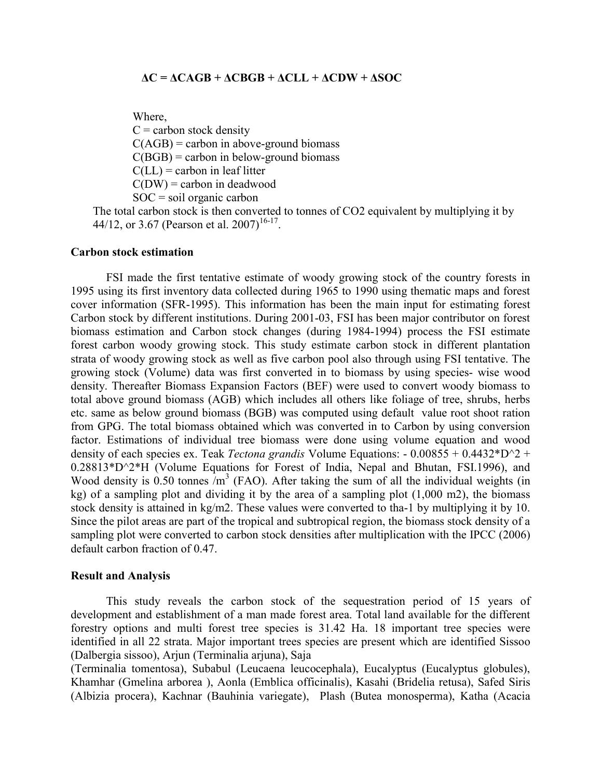#### $\Delta C = \Delta C \Delta GB + \Delta CBGB + \Delta CLL + \Delta CDW + \Delta SOC$

Where,

 $C =$  carbon stock density  $C(AGB)$  = carbon in above-ground biomass  $C(BGB)$  = carbon in below-ground biomass  $C(LL)$  = carbon in leaf litter  $C(DW)$  = carbon in deadwood  $SOC = soil organic carbon$ 

The total carbon stock is then converted to tonnes of CO2 equivalent by multiplying it by 44/12, or 3.67 (Pearson et al. 2007)<sup>16-17</sup>.

#### Carbon stock estimation

FSI made the first tentative estimate of woody growing stock of the country forests in 1995 using its first inventory data collected during 1965 to 1990 using thematic maps and forest cover information (SFR-1995). This information has been the main input for estimating forest Carbon stock by different institutions. During 2001-03, FSI has been major contributor on forest biomass estimation and Carbon stock changes (during 1984-1994) process the FSI estimate forest carbon woody growing stock. This study estimate carbon stock in different plantation strata of woody growing stock as well as five carbon pool also through using FSI tentative. The growing stock (Volume) data was first converted in to biomass by using species- wise wood density. Thereafter Biomass Expansion Factors (BEF) were used to convert woody biomass to total above ground biomass (AGB) which includes all others like foliage of tree, shrubs, herbs etc. same as below ground biomass (BGB) was computed using default value root shoot ration from GPG. The total biomass obtained which was converted in to Carbon by using conversion factor. Estimations of individual tree biomass were done using volume equation and wood density of each species ex. Teak *Tectona grandis* Volume Equations:  $-0.00855 + 0.4432^*D^2 +$ 0.28813\*D^2\*H (Volume Equations for Forest of India, Nepal and Bhutan, FSI.1996), and Wood density is  $0.50$  tonnes  $/m<sup>3</sup>$  (FAO). After taking the sum of all the individual weights (in kg) of a sampling plot and dividing it by the area of a sampling plot (1,000 m2), the biomass stock density is attained in kg/m2. These values were converted to tha-1 by multiplying it by 10. Since the pilot areas are part of the tropical and subtropical region, the biomass stock density of a sampling plot were converted to carbon stock densities after multiplication with the IPCC (2006) default carbon fraction of 0.47.

#### Result and Analysis

This study reveals the carbon stock of the sequestration period of 15 years of development and establishment of a man made forest area. Total land available for the different forestry options and multi forest tree species is 31.42 Ha. 18 important tree species were identified in all 22 strata. Major important trees species are present which are identified Sissoo (Dalbergia sissoo), Arjun (Terminalia arjuna), Saja

(Terminalia tomentosa), Subabul (Leucaena leucocephala), Eucalyptus (Eucalyptus globules), Khamhar (Gmelina arborea ), Aonla (Emblica officinalis), Kasahi (Bridelia retusa), Safed Siris (Albizia procera), Kachnar (Bauhinia variegate), Plash (Butea monosperma), Katha (Acacia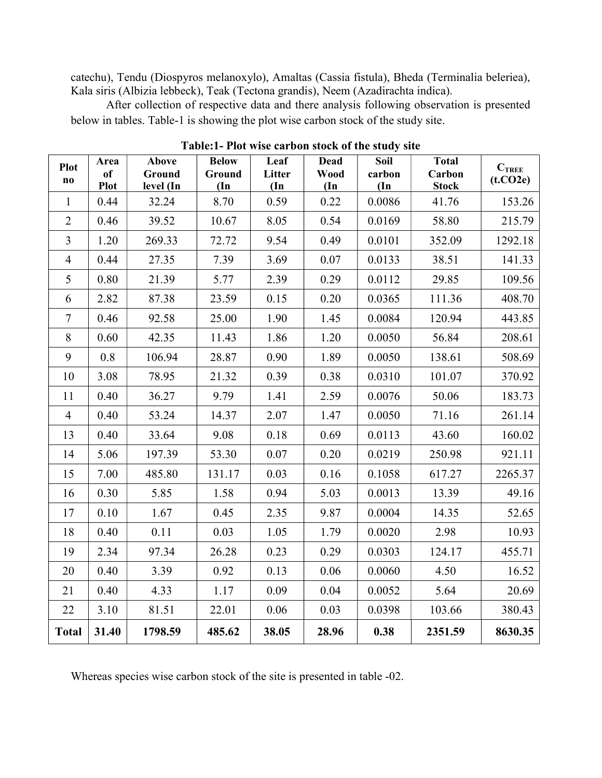catechu), Tendu (Diospyros melanoxylo), Amaltas (Cassia fistula), Bheda (Terminalia beleriea), Kala siris (Albizia lebbeck), Teak (Tectona grandis), Neem (Azadirachta indica).

After collection of respective data and there analysis following observation is presented below in tables. Table-1 is showing the plot wise carbon stock of the study site.

| <b>Plot</b><br>$\bf{no}$ | Area<br><sub>of</sub><br><b>Plot</b> | Above<br>Ground<br>level (In | <b>Below</b><br>Ground<br>$(\text{In})$ | Leaf<br>Litter<br>$(\mathbf{In}$ | <b>Dead</b><br><b>Wood</b><br>$(\mathbf{In}$ | <b>Soil</b><br>carbon<br>$(\mathbf{In}% )\rightarrow\mathbf{C}$ | <b>Total</b><br>Carbon<br><b>Stock</b> | $C_{\text{TREE}}$<br>(t.CO2e) |
|--------------------------|--------------------------------------|------------------------------|-----------------------------------------|----------------------------------|----------------------------------------------|-----------------------------------------------------------------|----------------------------------------|-------------------------------|
| $\mathbf{1}$             | 0.44                                 | 32.24                        | 8.70                                    | 0.59                             | 0.22                                         | 0.0086                                                          | 41.76                                  | 153.26                        |
| $\overline{2}$           | 0.46                                 | 39.52                        | 10.67                                   | 8.05                             | 0.54                                         | 0.0169                                                          | 58.80                                  | 215.79                        |
| $\mathfrak{Z}$           | 1.20                                 | 269.33                       | 72.72                                   | 9.54                             | 0.49                                         | 0.0101                                                          | 352.09                                 | 1292.18                       |
| $\overline{4}$           | 0.44                                 | 27.35                        | 7.39                                    | 3.69                             | 0.07                                         | 0.0133                                                          | 38.51                                  | 141.33                        |
| 5                        | 0.80                                 | 21.39                        | 5.77                                    | 2.39                             | 0.29                                         | 0.0112                                                          | 29.85                                  | 109.56                        |
| 6                        | 2.82                                 | 87.38                        | 23.59                                   | 0.15                             | 0.20                                         | 0.0365                                                          | 111.36                                 | 408.70                        |
| $\tau$                   | 0.46                                 | 92.58                        | 25.00                                   | 1.90                             | 1.45                                         | 0.0084                                                          | 120.94                                 | 443.85                        |
| 8                        | 0.60                                 | 42.35                        | 11.43                                   | 1.86                             | 1.20                                         | 0.0050                                                          | 56.84                                  | 208.61                        |
| 9                        | 0.8                                  | 106.94                       | 28.87                                   | 0.90                             | 1.89                                         | 0.0050                                                          | 138.61                                 | 508.69                        |
| 10                       | 3.08                                 | 78.95                        | 21.32                                   | 0.39                             | 0.38                                         | 0.0310                                                          | 101.07                                 | 370.92                        |
| 11                       | 0.40                                 | 36.27                        | 9.79                                    | 1.41                             | 2.59                                         | 0.0076                                                          | 50.06                                  | 183.73                        |
| $\overline{4}$           | 0.40                                 | 53.24                        | 14.37                                   | 2.07                             | 1.47                                         | 0.0050                                                          | 71.16                                  | 261.14                        |
| 13                       | 0.40                                 | 33.64                        | 9.08                                    | 0.18                             | 0.69                                         | 0.0113                                                          | 43.60                                  | 160.02                        |
| 14                       | 5.06                                 | 197.39                       | 53.30                                   | 0.07                             | 0.20                                         | 0.0219                                                          | 250.98                                 | 921.11                        |
| 15                       | 7.00                                 | 485.80                       | 131.17                                  | 0.03                             | 0.16                                         | 0.1058                                                          | 617.27                                 | 2265.37                       |
| 16                       | 0.30                                 | 5.85                         | 1.58                                    | 0.94                             | 5.03                                         | 0.0013                                                          | 13.39                                  | 49.16                         |
| 17                       | 0.10                                 | 1.67                         | 0.45                                    | 2.35                             | 9.87                                         | 0.0004                                                          | 14.35                                  | 52.65                         |
| 18                       | 0.40                                 | 0.11                         | 0.03                                    | 1.05                             | 1.79                                         | 0.0020                                                          | 2.98                                   | 10.93                         |
| 19                       | 2.34                                 | 97.34                        | 26.28                                   | 0.23                             | 0.29                                         | 0.0303                                                          | 124.17                                 | 455.71                        |
| 20                       | 0.40                                 | 3.39                         | 0.92                                    | 0.13                             | 0.06                                         | 0.0060                                                          | 4.50                                   | 16.52                         |
| 21                       | 0.40                                 | 4.33                         | 1.17                                    | 0.09                             | 0.04                                         | 0.0052                                                          | 5.64                                   | 20.69                         |
| 22                       | 3.10                                 | 81.51                        | 22.01                                   | 0.06                             | 0.03                                         | 0.0398                                                          | 103.66                                 | 380.43                        |
| <b>Total</b>             | 31.40                                | 1798.59                      | 485.62                                  | 38.05                            | 28.96                                        | 0.38                                                            | 2351.59                                | 8630.35                       |

Table:1- Plot wise carbon stock of the study site

Whereas species wise carbon stock of the site is presented in table -02.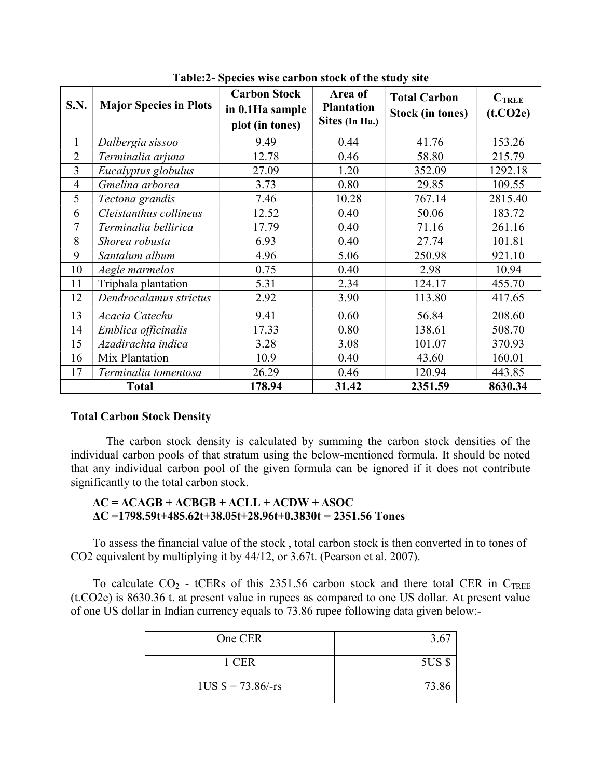| S.N.           | <b>Major Species in Plots</b> | <b>Carbon Stock</b><br>in 0.1Ha sample<br>plot (in tones) | Area of<br><b>Plantation</b><br>Sites (In Ha.) | <b>Total Carbon</b><br><b>Stock (in tones)</b> | $C_{\text{TREE}}$<br>(t.CO2e) |
|----------------|-------------------------------|-----------------------------------------------------------|------------------------------------------------|------------------------------------------------|-------------------------------|
| $\mathbf{1}$   | Dalbergia sissoo              | 9.49                                                      | 0.44                                           | 41.76                                          | 153.26                        |
| $\overline{2}$ | Terminalia arjuna             | 12.78                                                     | 0.46                                           | 58.80                                          | 215.79                        |
| 3              | Eucalyptus globulus           | 27.09                                                     | 1.20                                           | 352.09                                         | 1292.18                       |
| $\overline{4}$ | Gmelina arborea               | 3.73                                                      | 0.80                                           | 29.85                                          | 109.55                        |
| 5              | 7.46<br>Tectona grandis       |                                                           | 10.28                                          | 767.14                                         | 2815.40                       |
| 6              | Cleistanthus collineus        | 12.52                                                     | 0.40                                           | 50.06                                          | 183.72                        |
| $\overline{7}$ | Terminalia bellirica          | 17.79                                                     | 0.40                                           | 71.16                                          | 261.16                        |
| 8              | Shorea robusta                | 6.93                                                      | 0.40                                           | 27.74                                          | 101.81                        |
| 9              | Santalum album                | 4.96                                                      | 5.06                                           | 250.98                                         | 921.10                        |
| 10             | Aegle marmelos                | 0.75                                                      | 0.40                                           | 2.98                                           | 10.94                         |
| 11             | Triphala plantation           | 5.31                                                      | 2.34                                           | 124.17                                         | 455.70                        |
| 12             | Dendrocalamus strictus        | 2.92                                                      | 3.90                                           | 113.80                                         | 417.65                        |
| 13             | Acacia Catechu                | 9.41                                                      | 0.60                                           | 56.84                                          | 208.60                        |
| 14             | Emblica officinalis           | 17.33                                                     | 0.80                                           | 138.61                                         | 508.70                        |
| 15             | Azadirachta indica            | 3.28                                                      | 3.08                                           | 101.07                                         | 370.93                        |
| 16             | Mix Plantation                | 10.9                                                      | 0.40                                           | 43.60                                          | 160.01                        |
| 17             | Terminalia tomentosa          | 26.29                                                     | 0.46                                           | 120.94                                         | 443.85                        |
| <b>Total</b>   |                               | 178.94                                                    | 31.42                                          | 2351.59                                        | 8630.34                       |

Table:2- Species wise carbon stock of the study site

### Total Carbon Stock Density

The carbon stock density is calculated by summing the carbon stock densities of the individual carbon pools of that stratum using the below-mentioned formula. It should be noted that any individual carbon pool of the given formula can be ignored if it does not contribute significantly to the total carbon stock.

### $\Delta C = \Delta CAGB + \Delta CBGB + \Delta CLL + \Delta CDW + \Delta SOC$  $\Delta C = 1798.59t + 485.62t + 38.05t + 28.96t + 0.3830t = 2351.56$  Tones

To assess the financial value of the stock , total carbon stock is then converted in to tones of CO2 equivalent by multiplying it by 44/12, or 3.67t. (Pearson et al. 2007).

To calculate  $CO_2$  - tCERs of this 2351.56 carbon stock and there total CER in C<sub>TREE</sub> (t.CO2e) is 8630.36 t. at present value in rupees as compared to one US dollar. At present value of one US dollar in Indian currency equals to 73.86 rupee following data given below:-

| One CER                    | 3.67   |
|----------------------------|--------|
| 1 CER                      | 5US \$ |
| $1US $ = 73.86/\text{-rs}$ | 73.86  |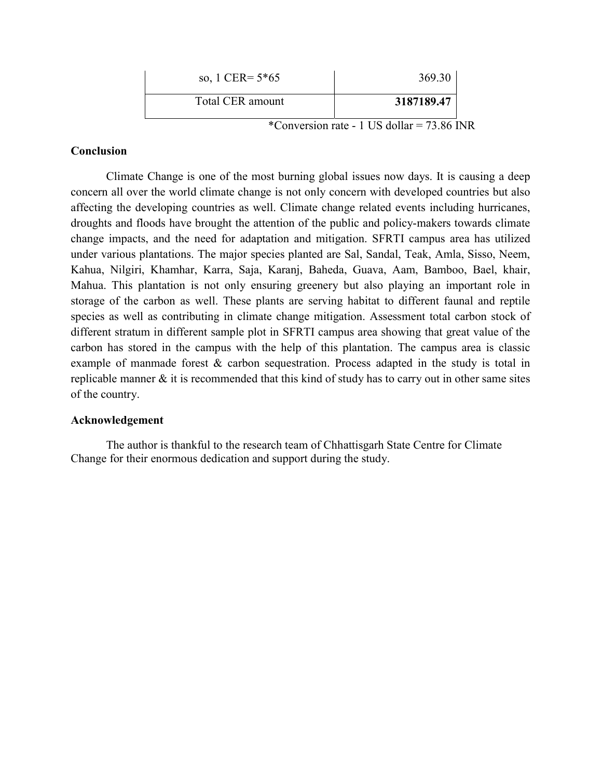| so, 1 CER= $5*65$ | 369.30     |
|-------------------|------------|
| Total CER amount  | 3187189.47 |

\*Conversion rate - 1 US dollar =  $73.86$  INR

### Conclusion

Climate Change is one of the most burning global issues now days. It is causing a deep concern all over the world climate change is not only concern with developed countries but also affecting the developing countries as well. Climate change related events including hurricanes, droughts and floods have brought the attention of the public and policy-makers towards climate change impacts, and the need for adaptation and mitigation. SFRTI campus area has utilized under various plantations. The major species planted are Sal, Sandal, Teak, Amla, Sisso, Neem, Kahua, Nilgiri, Khamhar, Karra, Saja, Karanj, Baheda, Guava, Aam, Bamboo, Bael, khair, Mahua. This plantation is not only ensuring greenery but also playing an important role in storage of the carbon as well. These plants are serving habitat to different faunal and reptile species as well as contributing in climate change mitigation. Assessment total carbon stock of different stratum in different sample plot in SFRTI campus area showing that great value of the carbon has stored in the campus with the help of this plantation. The campus area is classic example of manmade forest & carbon sequestration. Process adapted in the study is total in replicable manner & it is recommended that this kind of study has to carry out in other same sites of the country.

#### Acknowledgement

The author is thankful to the research team of Chhattisgarh State Centre for Climate Change for their enormous dedication and support during the study.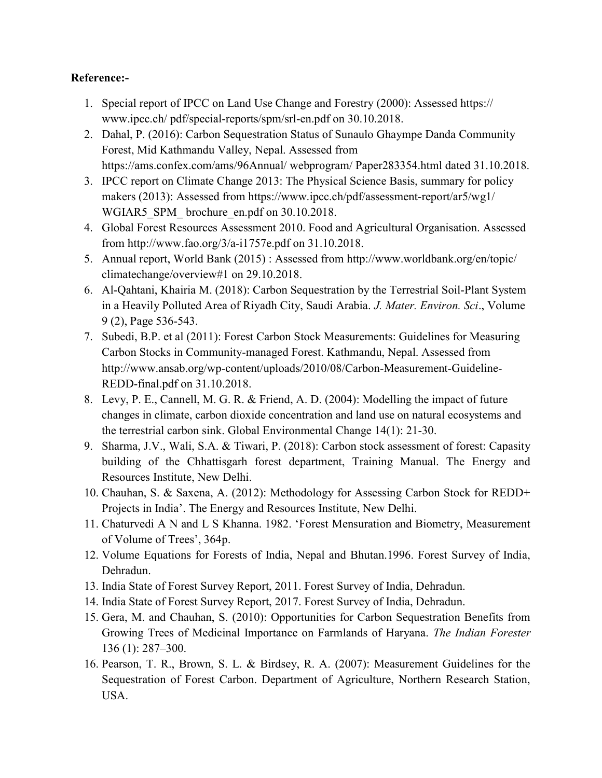# Reference:-

- 1. Special report of IPCC on Land Use Change and Forestry (2000): Assessed https:// www.ipcc.ch/ pdf/special-reports/spm/srl-en.pdf on 30.10.2018.
- 2. Dahal, P. (2016): Carbon Sequestration Status of Sunaulo Ghaympe Danda Community Forest, Mid Kathmandu Valley, Nepal. Assessed from https://ams.confex.com/ams/96Annual/ webprogram/ Paper283354.html dated 31.10.2018.
- 3. IPCC report on Climate Change 2013: The Physical Science Basis, summary for policy makers (2013): Assessed from https://www.ipcc.ch/pdf/assessment-report/ar5/wg1/ WGIAR5 SPM brochure en.pdf on 30.10.2018.
- 4. Global Forest Resources Assessment 2010. Food and Agricultural Organisation. Assessed from http://www.fao.org/3/a-i1757e.pdf on 31.10.2018.
- 5. Annual report, World Bank (2015) : Assessed from http://www.worldbank.org/en/topic/ climatechange/overview#1 on 29.10.2018.
- 6. Al-Qahtani, Khairia M. (2018): Carbon Sequestration by the Terrestrial Soil-Plant System in a Heavily Polluted Area of Riyadh City, Saudi Arabia. J. Mater. Environ. Sci., Volume 9 (2), Page 536-543.
- 7. Subedi, B.P. et al (2011): Forest Carbon Stock Measurements: Guidelines for Measuring Carbon Stocks in Community-managed Forest. Kathmandu, Nepal. Assessed from http://www.ansab.org/wp-content/uploads/2010/08/Carbon-Measurement-Guideline-REDD-final.pdf on 31.10.2018.
- 8. Levy, P. E., Cannell, M. G. R. & Friend, A. D. (2004): Modelling the impact of future changes in climate, carbon dioxide concentration and land use on natural ecosystems and the terrestrial carbon sink. Global Environmental Change 14(1): 21-30.
- 9. Sharma, J.V., Wali, S.A. & Tiwari, P. (2018): Carbon stock assessment of forest: Capasity building of the Chhattisgarh forest department, Training Manual. The Energy and Resources Institute, New Delhi.
- 10. Chauhan, S. & Saxena, A. (2012): Methodology for Assessing Carbon Stock for REDD+ Projects in India'. The Energy and Resources Institute, New Delhi.
- 11. Chaturvedi A N and L S Khanna. 1982. 'Forest Mensuration and Biometry, Measurement of Volume of Trees', 364p.
- 12. Volume Equations for Forests of India, Nepal and Bhutan.1996. Forest Survey of India, Dehradun.
- 13. India State of Forest Survey Report, 2011. Forest Survey of India, Dehradun.
- 14. India State of Forest Survey Report, 2017. Forest Survey of India, Dehradun.
- 15. Gera, M. and Chauhan, S. (2010): Opportunities for Carbon Sequestration Benefits from Growing Trees of Medicinal Importance on Farmlands of Haryana. The Indian Forester 136 (1): 287–300.
- 16. Pearson, T. R., Brown, S. L. & Birdsey, R. A. (2007): Measurement Guidelines for the Sequestration of Forest Carbon. Department of Agriculture, Northern Research Station, USA.